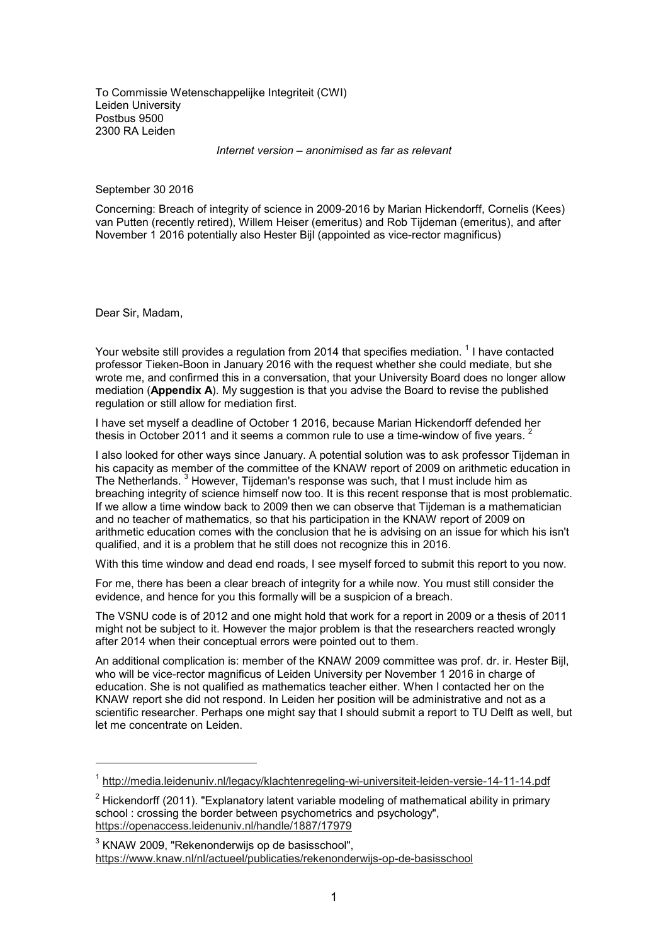To Commissie Wetenschappelijke Integriteit (CWI) Leiden University Postbus 9500 2300 RA Leiden

*Internet version – anonimised as far as relevant*

September 30 2016

Concerning: Breach of integrity of science in 2009-2016 by Marian Hickendorff, Cornelis (Kees) van Putten (recently retired), Willem Heiser (emeritus) and Rob Tijdeman (emeritus), and after November 1 2016 potentially also Hester Bijl (appointed as vice-rector magnificus)

Dear Sir, Madam,

-

Your website still provides a regulation from 2014 that specifies mediation.  $^{\rm 1}$  I have contacted professor Tieken-Boon in January 2016 with the request whether she could mediate, but she wrote me, and confirmed this in a conversation, that your University Board does no longer allow mediation (**Appendix A**). My suggestion is that you advise the Board to revise the published regulation or still allow for mediation first.

I have set myself a deadline of October 1 2016, because Marian Hickendorff defended her thesis in October 2011 and it seems a common rule to use a time-window of five years. <sup>2</sup>

I also looked for other ways since January. A potential solution was to ask professor Tijdeman in his capacity as member of the committee of the KNAW report of 2009 on arithmetic education in The Netherlands. <sup>3</sup> However, Tijdeman's response was such, that I must include him as breaching integrity of science himself now too. It is this recent response that is most problematic. If we allow a time window back to 2009 then we can observe that Tijdeman is a mathematician and no teacher of mathematics, so that his participation in the KNAW report of 2009 on arithmetic education comes with the conclusion that he is advising on an issue for which his isn't qualified, and it is a problem that he still does not recognize this in 2016.

With this time window and dead end roads, I see myself forced to submit this report to you now.

For me, there has been a clear breach of integrity for a while now. You must still consider the evidence, and hence for you this formally will be a suspicion of a breach.

The VSNU code is of 2012 and one might hold that work for a report in 2009 or a thesis of 2011 might not be subject to it. However the major problem is that the researchers reacted wrongly after 2014 when their conceptual errors were pointed out to them.

An additional complication is: member of the KNAW 2009 committee was prof. dr. ir. Hester Bijl, who will be vice-rector magnificus of Leiden University per November 1 2016 in charge of education. She is not qualified as mathematics teacher either. When I contacted her on the KNAW report she did not respond. In Leiden her position will be administrative and not as a scientific researcher. Perhaps one might say that I should submit a report to TU Delft as well, but let me concentrate on Leiden.

<sup>&</sup>lt;sup>1</sup> http://media.leidenuniv.nl/legacy/klachtenregeling-wi-universiteit-leiden-versie-14-11-14.pdf

 $^{\rm 2}$  Hickendorff (2011). "Explanatory latent variable modeling of mathematical ability in primary school : crossing the border between psychometrics and psychology", https://openaccess.leidenuniv.nl/handle/1887/17979

 $^3$  KNAW 2009, "Rekenonderwijs op de basisschool", https://www.knaw.nl/nl/actueel/publicaties/rekenonderwijs-op-de-basisschool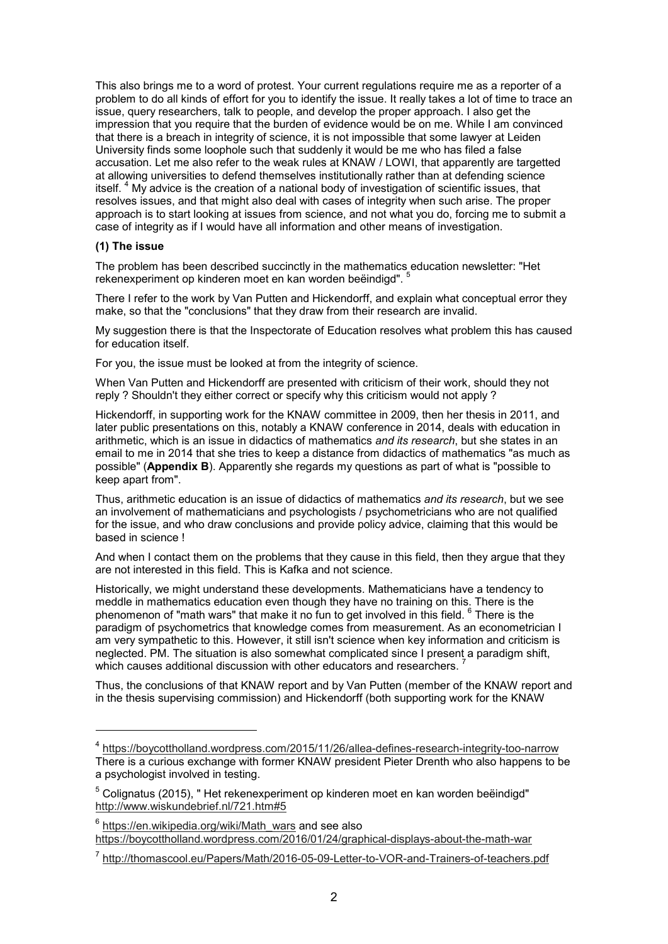This also brings me to a word of protest. Your current regulations require me as a reporter of a problem to do all kinds of effort for you to identify the issue. It really takes a lot of time to trace an issue, query researchers, talk to people, and develop the proper approach. I also get the impression that you require that the burden of evidence would be on me. While I am convinced that there is a breach in integrity of science, it is not impossible that some lawyer at Leiden University finds some loophole such that suddenly it would be me who has filed a false accusation. Let me also refer to the weak rules at KNAW / LOWI, that apparently are targetted at allowing universities to defend themselves institutionally rather than at defending science itself. <sup>4</sup> My advice is the creation of a national body of investigation of scientific issues, that resolves issues, and that might also deal with cases of integrity when such arise. The proper approach is to start looking at issues from science, and not what you do, forcing me to submit a case of integrity as if I would have all information and other means of investigation.

# **(1) The issue**

-

The problem has been described succinctly in the mathematics education newsletter: "Het rekenexperiment op kinderen moet en kan worden beëindigd". <sup>5</sup>

There I refer to the work by Van Putten and Hickendorff, and explain what conceptual error they make, so that the "conclusions" that they draw from their research are invalid.

My suggestion there is that the Inspectorate of Education resolves what problem this has caused for education itself.

For you, the issue must be looked at from the integrity of science.

When Van Putten and Hickendorff are presented with criticism of their work, should they not reply ? Shouldn't they either correct or specify why this criticism would not apply ?

Hickendorff, in supporting work for the KNAW committee in 2009, then her thesis in 2011, and later public presentations on this, notably a KNAW conference in 2014, deals with education in arithmetic, which is an issue in didactics of mathematics *and its research*, but she states in an email to me in 2014 that she tries to keep a distance from didactics of mathematics "as much as possible" (**Appendix B**). Apparently she regards my questions as part of what is "possible to keep apart from".

Thus, arithmetic education is an issue of didactics of mathematics *and its research*, but we see an involvement of mathematicians and psychologists / psychometricians who are not qualified for the issue, and who draw conclusions and provide policy advice, claiming that this would be based in science !

And when I contact them on the problems that they cause in this field, then they argue that they are not interested in this field. This is Kafka and not science.

Historically, we might understand these developments. Mathematicians have a tendency to meddle in mathematics education even though they have no training on this. There is the phenomenon of "math wars" that make it no fun to get involved in this field.  $^6$  There is the paradigm of psychometrics that knowledge comes from measurement. As an econometrician I am very sympathetic to this. However, it still isn't science when key information and criticism is neglected. PM. The situation is also somewhat complicated since I present a paradigm shift, which causes additional discussion with other educators and researchers.

Thus, the conclusions of that KNAW report and by Van Putten (member of the KNAW report and in the thesis supervising commission) and Hickendorff (both supporting work for the KNAW

<sup>4</sup> https://boycottholland.wordpress.com/2015/11/26/allea-defines-research-integrity-too-narrow There is a curious exchange with former KNAW president Pieter Drenth who also happens to be a psychologist involved in testing.

 $^{\rm 5}$  Colignatus (2015), " Het rekenexperiment op kinderen moet en kan worden beëindigd" http://www.wiskundebrief.nl/721.htm#5

 $^6$  <u>https://en.wikipedia.org/wiki/Math\_wars</u> and see also https://boycottholland.wordpress.com/2016/01/24/graphical-displays-about-the-math-war

<sup>&</sup>lt;sup>7</sup> http://thomascool.eu/Papers/Math/2016-05-09-Letter-to-VOR-and-Trainers-of-teachers.pdf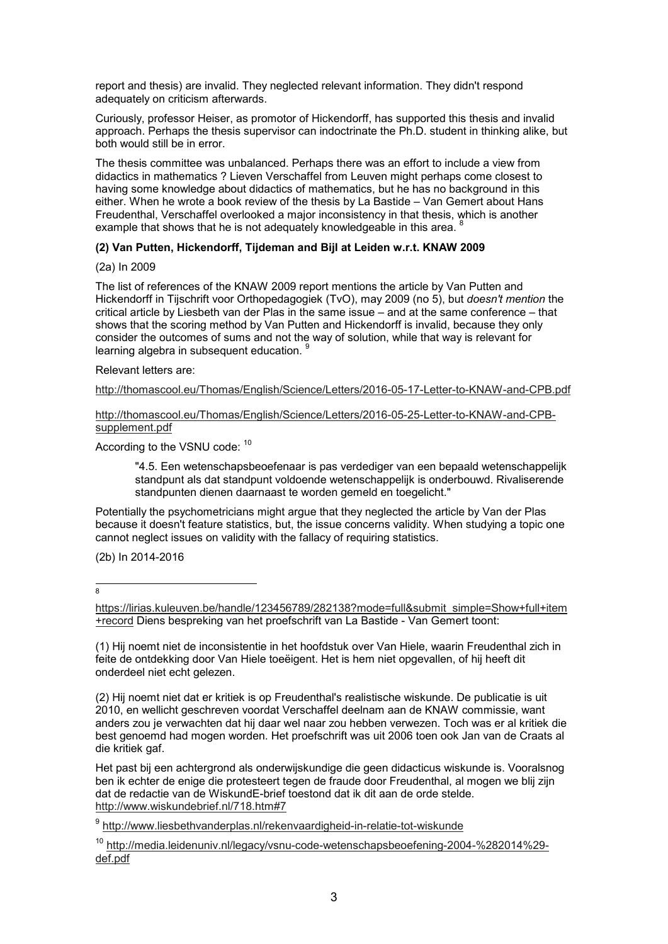report and thesis) are invalid. They neglected relevant information. They didn't respond adequately on criticism afterwards.

Curiously, professor Heiser, as promotor of Hickendorff, has supported this thesis and invalid approach. Perhaps the thesis supervisor can indoctrinate the Ph.D. student in thinking alike, but both would still be in error.

The thesis committee was unbalanced. Perhaps there was an effort to include a view from didactics in mathematics ? Lieven Verschaffel from Leuven might perhaps come closest to having some knowledge about didactics of mathematics, but he has no background in this either. When he wrote a book review of the thesis by La Bastide – Van Gemert about Hans Freudenthal, Verschaffel overlooked a major inconsistency in that thesis, which is another example that shows that he is not adequately knowledgeable in this area.

## **(2) Van Putten, Hickendorff, Tijdeman and Bijl at Leiden w.r.t. KNAW 2009**

(2a) In 2009

The list of references of the KNAW 2009 report mentions the article by Van Putten and Hickendorff in Tijschrift voor Orthopedagogiek (TvO), may 2009 (no 5), but *doesn't mention* the critical article by Liesbeth van der Plas in the same issue – and at the same conference – that shows that the scoring method by Van Putten and Hickendorff is invalid, because they only consider the outcomes of sums and not the way of solution, while that way is relevant for learning algebra in subsequent education. <sup>9</sup>

Relevant letters are:

http://thomascool.eu/Thomas/English/Science/Letters/2016-05-17-Letter-to-KNAW-and-CPB.pdf

http://thomascool.eu/Thomas/English/Science/Letters/2016-05-25-Letter-to-KNAW-and-CPBsupplement.pdf

According to the VSNU code: <sup>10</sup>

"4.5. Een wetenschapsbeoefenaar is pas verdediger van een bepaald wetenschappelijk standpunt als dat standpunt voldoende wetenschappelijk is onderbouwd. Rivaliserende standpunten dienen daarnaast te worden gemeld en toegelicht."

Potentially the psychometricians might argue that they neglected the article by Van der Plas because it doesn't feature statistics, but, the issue concerns validity. When studying a topic one cannot neglect issues on validity with the fallacy of requiring statistics.

(2b) In 2014-2016

-<br>8

(1) Hij noemt niet de inconsistentie in het hoofdstuk over Van Hiele, waarin Freudenthal zich in feite de ontdekking door Van Hiele toeëigent. Het is hem niet opgevallen, of hij heeft dit onderdeel niet echt gelezen.

(2) Hij noemt niet dat er kritiek is op Freudenthal's realistische wiskunde. De publicatie is uit 2010, en wellicht geschreven voordat Verschaffel deelnam aan de KNAW commissie, want anders zou je verwachten dat hij daar wel naar zou hebben verwezen. Toch was er al kritiek die best genoemd had mogen worden. Het proefschrift was uit 2006 toen ook Jan van de Craats al die kritiek gaf.

Het past bij een achtergrond als onderwijskundige die geen didacticus wiskunde is. Vooralsnog ben ik echter de enige die protesteert tegen de fraude door Freudenthal, al mogen we blij zijn dat de redactie van de WiskundE-brief toestond dat ik dit aan de orde stelde. http://www.wiskundebrief.nl/718.htm#7

<sup>9</sup> <u>http://www.liesbethvanderplas.nl/rekenvaardigheid-in-relatie-tot-wiskunde</u>

<sup>10</sup> http://media.leidenuniv.nl/legacy/vsn<u>u-code-wetenschapsbeoefening-2004-%282014%29-</u> def.pdf

https://lirias.kuleuven.be/handle/123456789/282138?mode=full&submit\_simple=Show+full+item +record Diens bespreking van het proefschrift van La Bastide - Van Gemert toont: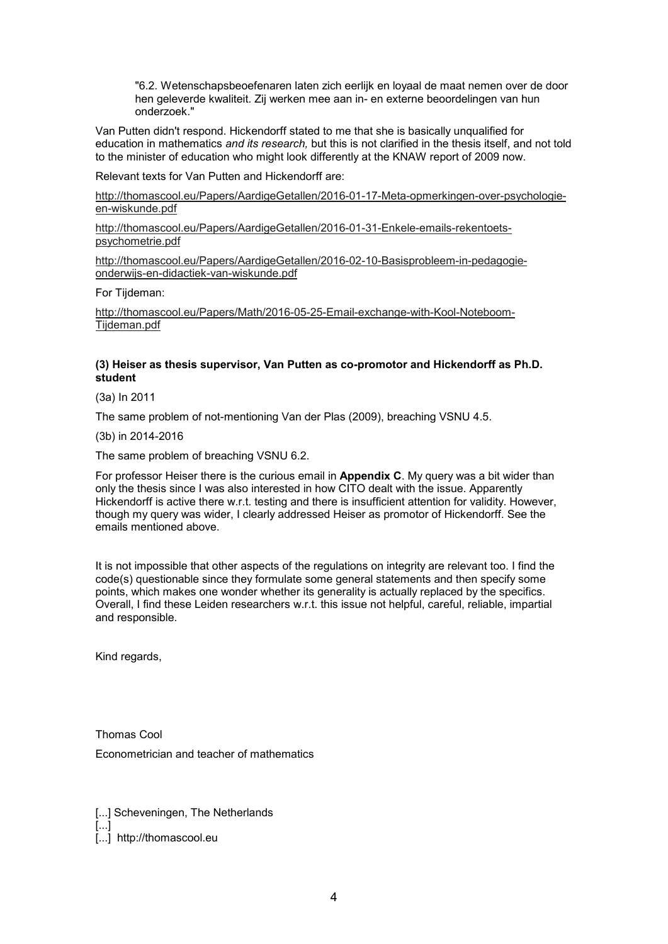"6.2. Wetenschapsbeoefenaren laten zich eerlijk en loyaal de maat nemen over de door hen geleverde kwaliteit. Zij werken mee aan in- en externe beoordelingen van hun onderzoek."

Van Putten didn't respond. Hickendorff stated to me that she is basically unqualified for education in mathematics *and its research,* but this is not clarified in the thesis itself, and not told to the minister of education who might look differently at the KNAW report of 2009 now.

Relevant texts for Van Putten and Hickendorff are:

http://thomascool.eu/Papers/AardigeGetallen/2016-01-17-Meta-opmerkingen-over-psychologieen-wiskunde.pdf

http://thomascool.eu/Papers/AardigeGetallen/2016-01-31-Enkele-emails-rekentoetspsychometrie.pdf

http://thomascool.eu/Papers/AardigeGetallen/2016-02-10-Basisprobleem-in-pedagogieonderwijs-en-didactiek-van-wiskunde.pdf

For Tijdeman:

http://thomascool.eu/Papers/Math/2016-05-25-Email-exchange-with-Kool-Noteboom-Tijdeman.pdf

## **(3) Heiser as thesis supervisor, Van Putten as co-promotor and Hickendorff as Ph.D. student**

(3a) In 2011

The same problem of not-mentioning Van der Plas (2009), breaching VSNU 4.5.

(3b) in 2014-2016

The same problem of breaching VSNU 6.2.

For professor Heiser there is the curious email in **Appendix C**. My query was a bit wider than only the thesis since I was also interested in how CITO dealt with the issue. Apparently Hickendorff is active there w.r.t. testing and there is insufficient attention for validity. However, though my query was wider, I clearly addressed Heiser as promotor of Hickendorff. See the emails mentioned above.

It is not impossible that other aspects of the regulations on integrity are relevant too. I find the code(s) questionable since they formulate some general statements and then specify some points, which makes one wonder whether its generality is actually replaced by the specifics. Overall, I find these Leiden researchers w.r.t. this issue not helpful, careful, reliable, impartial and responsible.

Kind regards,

Thomas Cool Econometrician and teacher of mathematics

[...] Scheveningen, The Netherlands [...] [...] http://thomascool.eu